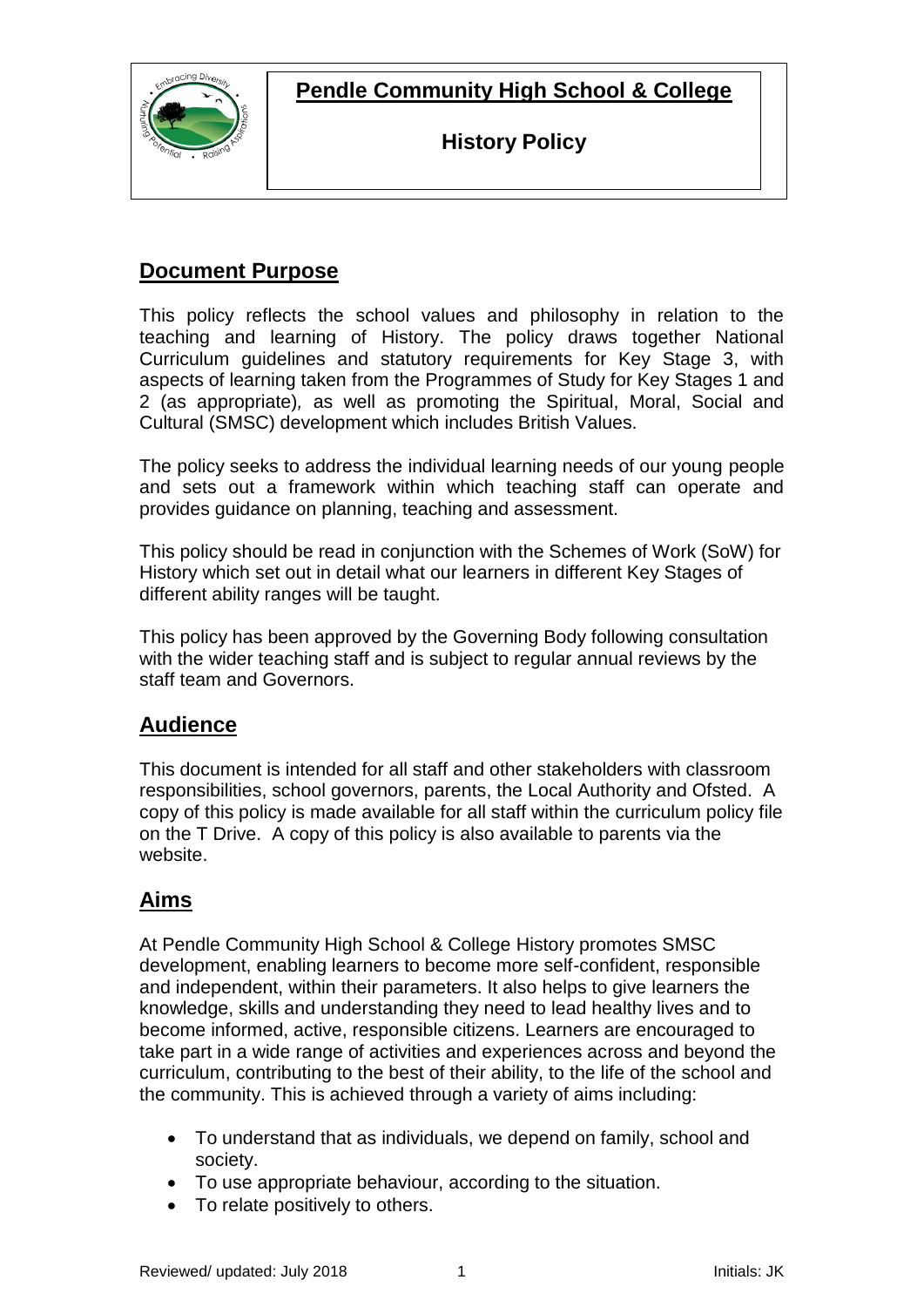**Pendle Community High School & College**



**History Policy**

### **Document Purpose**

This policy reflects the school values and philosophy in relation to the teaching and learning of History. The policy draws together National Curriculum guidelines and statutory requirements for Key Stage 3, with aspects of learning taken from the Programmes of Study for Key Stages 1 and 2 (as appropriate)*,* as well as promoting the Spiritual, Moral, Social and Cultural (SMSC) development which includes British Values.

The policy seeks to address the individual learning needs of our young people and sets out a framework within which teaching staff can operate and provides guidance on planning, teaching and assessment.

This policy should be read in conjunction with the Schemes of Work (SoW) for History which set out in detail what our learners in different Key Stages of different ability ranges will be taught.

This policy has been approved by the Governing Body following consultation with the wider teaching staff and is subject to regular annual reviews by the staff team and Governors.

### **Audience**

This document is intended for all staff and other stakeholders with classroom responsibilities, school governors, parents, the Local Authority and Ofsted. A copy of this policy is made available for all staff within the curriculum policy file on the T Drive. A copy of this policy is also available to parents via the website.

## **Aims**

At Pendle Community High School & College History promotes SMSC development, enabling learners to become more self-confident, responsible and independent, within their parameters. It also helps to give learners the knowledge, skills and understanding they need to lead healthy lives and to become informed, active, responsible citizens. Learners are encouraged to take part in a wide range of activities and experiences across and beyond the curriculum, contributing to the best of their ability, to the life of the school and the community. This is achieved through a variety of aims including:

- To understand that as individuals, we depend on family, school and society.
- To use appropriate behaviour, according to the situation.
- To relate positively to others.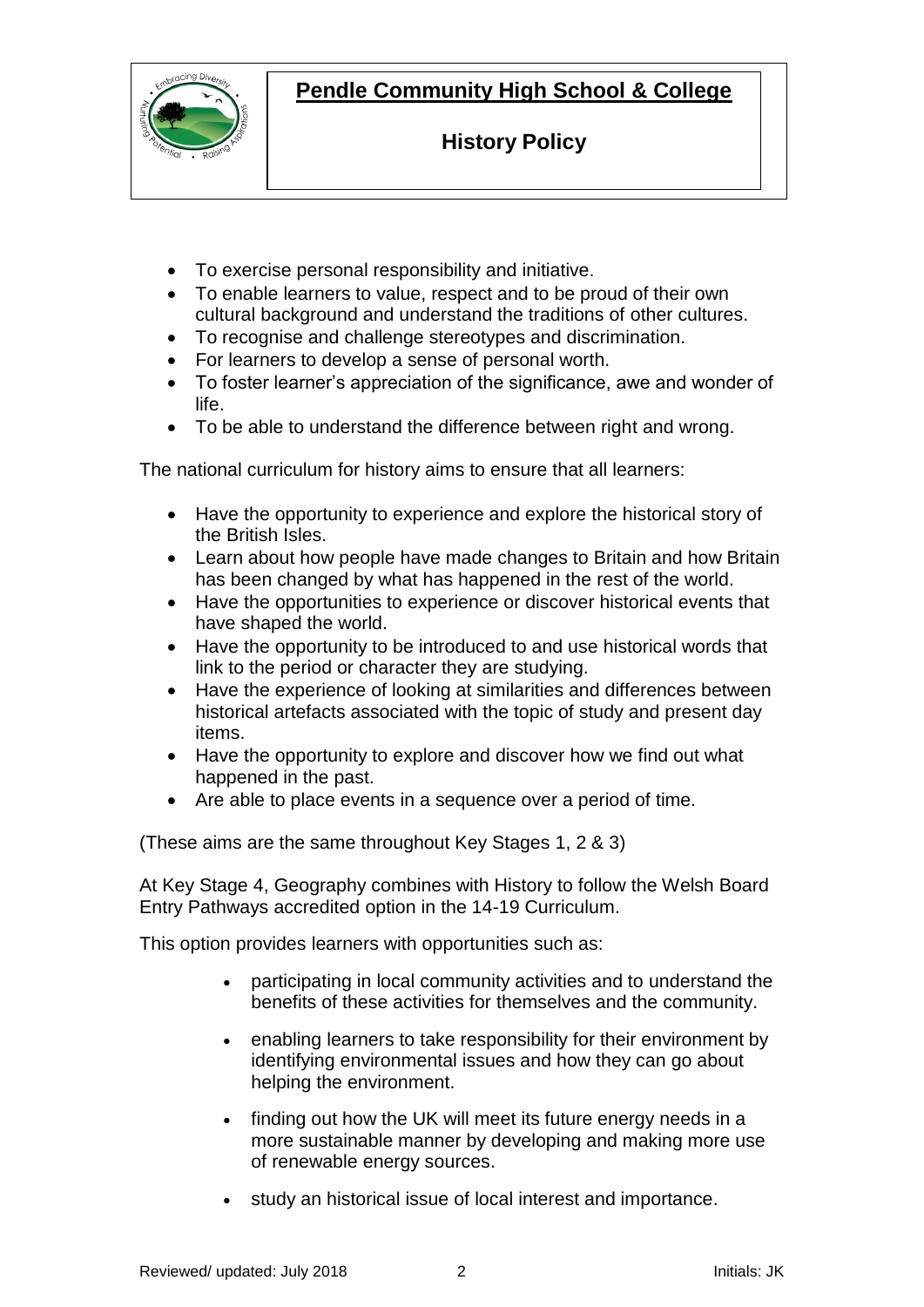**Pendle Community High School & College**



**History Policy**

- To exercise personal responsibility and initiative.
- To enable learners to value, respect and to be proud of their own cultural background and understand the traditions of other cultures.
- To recognise and challenge stereotypes and discrimination.
- For learners to develop a sense of personal worth.
- To foster learner's appreciation of the significance, awe and wonder of life.
- To be able to understand the difference between right and wrong.

The national curriculum for history aims to ensure that all learners:

- Have the opportunity to experience and explore the historical story of the British Isles.
- Learn about how people have made changes to Britain and how Britain has been changed by what has happened in the rest of the world.
- Have the opportunities to experience or discover historical events that have shaped the world.
- Have the opportunity to be introduced to and use historical words that link to the period or character they are studying.
- Have the experience of looking at similarities and differences between historical artefacts associated with the topic of study and present day items.
- Have the opportunity to explore and discover how we find out what happened in the past.
- Are able to place events in a sequence over a period of time.

(These aims are the same throughout Key Stages 1, 2 & 3)

At Key Stage 4, Geography combines with History to follow the Welsh Board Entry Pathways accredited option in the 14-19 Curriculum.

This option provides learners with opportunities such as:

- participating in local community activities and to understand the benefits of these activities for themselves and the community.
- enabling learners to take responsibility for their environment by identifying environmental issues and how they can go about helping the environment.
- finding out how the UK will meet its future energy needs in a more sustainable manner by developing and making more use of renewable energy sources.
- study an historical issue of local interest and importance.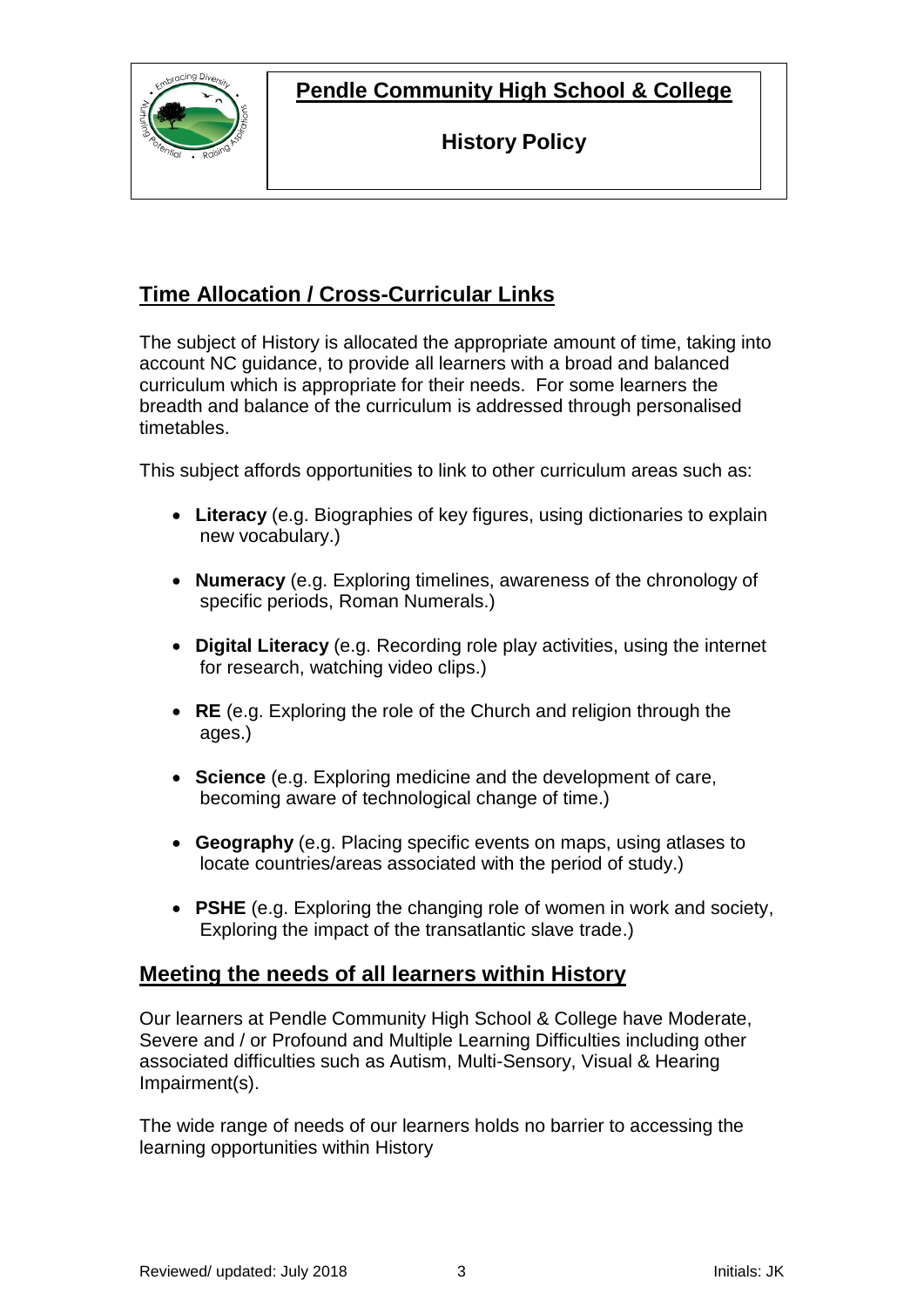**Pendle Community High School & College**



**History Policy**

# **Time Allocation / Cross-Curricular Links**

The subject of History is allocated the appropriate amount of time, taking into account NC guidance, to provide all learners with a broad and balanced curriculum which is appropriate for their needs. For some learners the breadth and balance of the curriculum is addressed through personalised timetables.

This subject affords opportunities to link to other curriculum areas such as:

- **Literacy** (e.g. Biographies of key figures, using dictionaries to explain new vocabulary.)
- **Numeracy** (e.g. Exploring timelines, awareness of the chronology of specific periods, Roman Numerals.)
- **Digital Literacy** (e.g. Recording role play activities, using the internet for research, watching video clips.)
- **RE** (e.g. Exploring the role of the Church and religion through the ages.)
- **Science** (e.g. Exploring medicine and the development of care, becoming aware of technological change of time.)
- **Geography** (e.g. Placing specific events on maps, using atlases to locate countries/areas associated with the period of study.)
- **PSHE** (e.g. Exploring the changing role of women in work and society, Exploring the impact of the transatlantic slave trade.)

### **Meeting the needs of all learners within History**

Our learners at Pendle Community High School & College have Moderate, Severe and / or Profound and Multiple Learning Difficulties including other associated difficulties such as Autism, Multi-Sensory, Visual & Hearing Impairment(s).

The wide range of needs of our learners holds no barrier to accessing the learning opportunities within History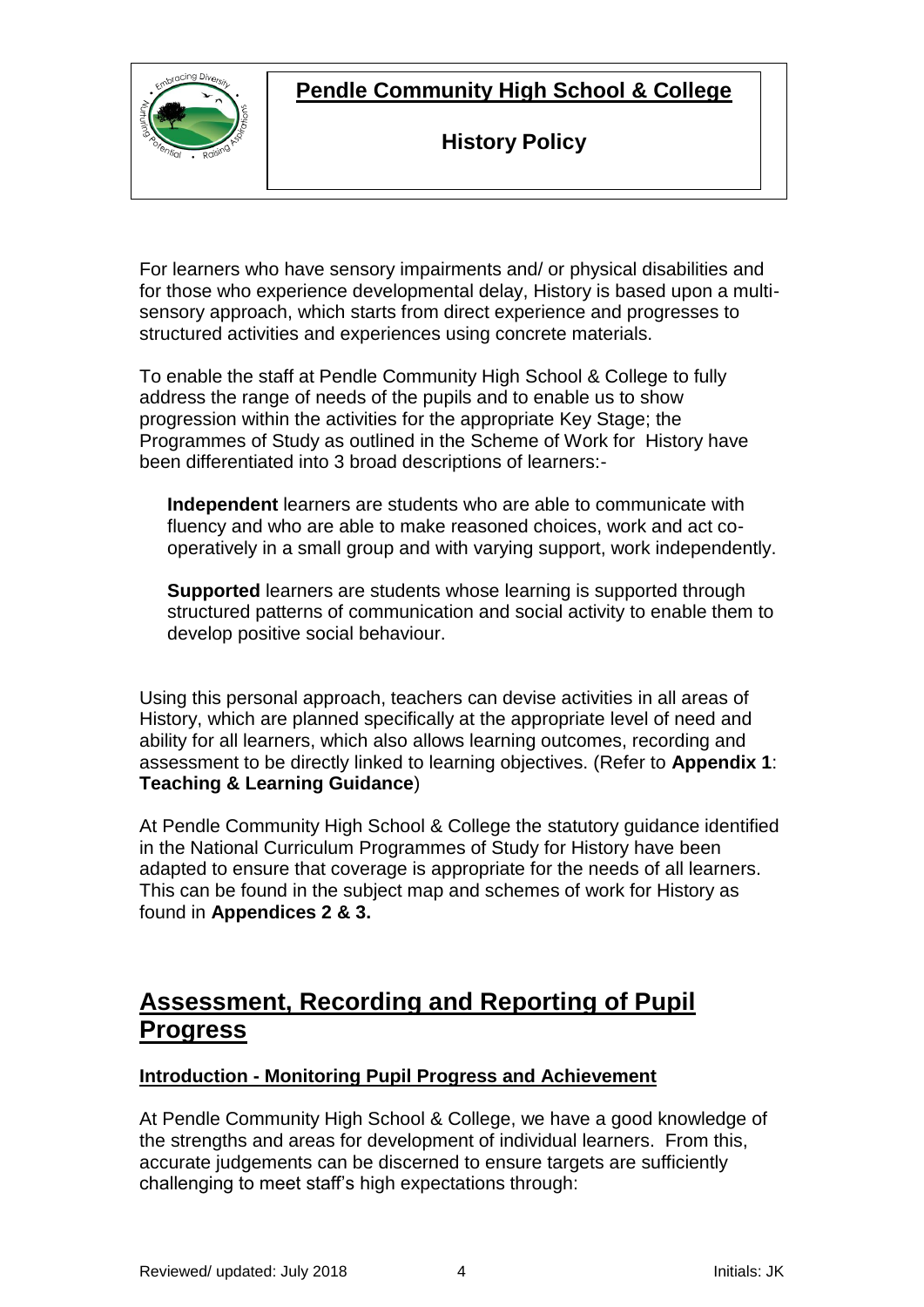

**Pendle Community High School & College**

**History Policy**

For learners who have sensory impairments and/ or physical disabilities and for those who experience developmental delay, History is based upon a multisensory approach, which starts from direct experience and progresses to structured activities and experiences using concrete materials.

To enable the staff at Pendle Community High School & College to fully address the range of needs of the pupils and to enable us to show progression within the activities for the appropriate Key Stage; the Programmes of Study as outlined in the Scheme of Work for History have been differentiated into 3 broad descriptions of learners:-

**Independent** learners are students who are able to communicate with fluency and who are able to make reasoned choices, work and act cooperatively in a small group and with varying support, work independently.

**Supported** learners are students whose learning is supported through structured patterns of communication and social activity to enable them to develop positive social behaviour.

Using this personal approach, teachers can devise activities in all areas of History, which are planned specifically at the appropriate level of need and ability for all learners, which also allows learning outcomes, recording and assessment to be directly linked to learning objectives. (Refer to **Appendix 1**: **Teaching & Learning Guidance**)

At Pendle Community High School & College the statutory guidance identified in the National Curriculum Programmes of Study for History have been adapted to ensure that coverage is appropriate for the needs of all learners. This can be found in the subject map and schemes of work for History as found in **Appendices 2 & 3.**

# **Assessment, Recording and Reporting of Pupil Progress**

#### **Introduction - Monitoring Pupil Progress and Achievement**

At Pendle Community High School & College, we have a good knowledge of the strengths and areas for development of individual learners. From this, accurate judgements can be discerned to ensure targets are sufficiently challenging to meet staff's high expectations through: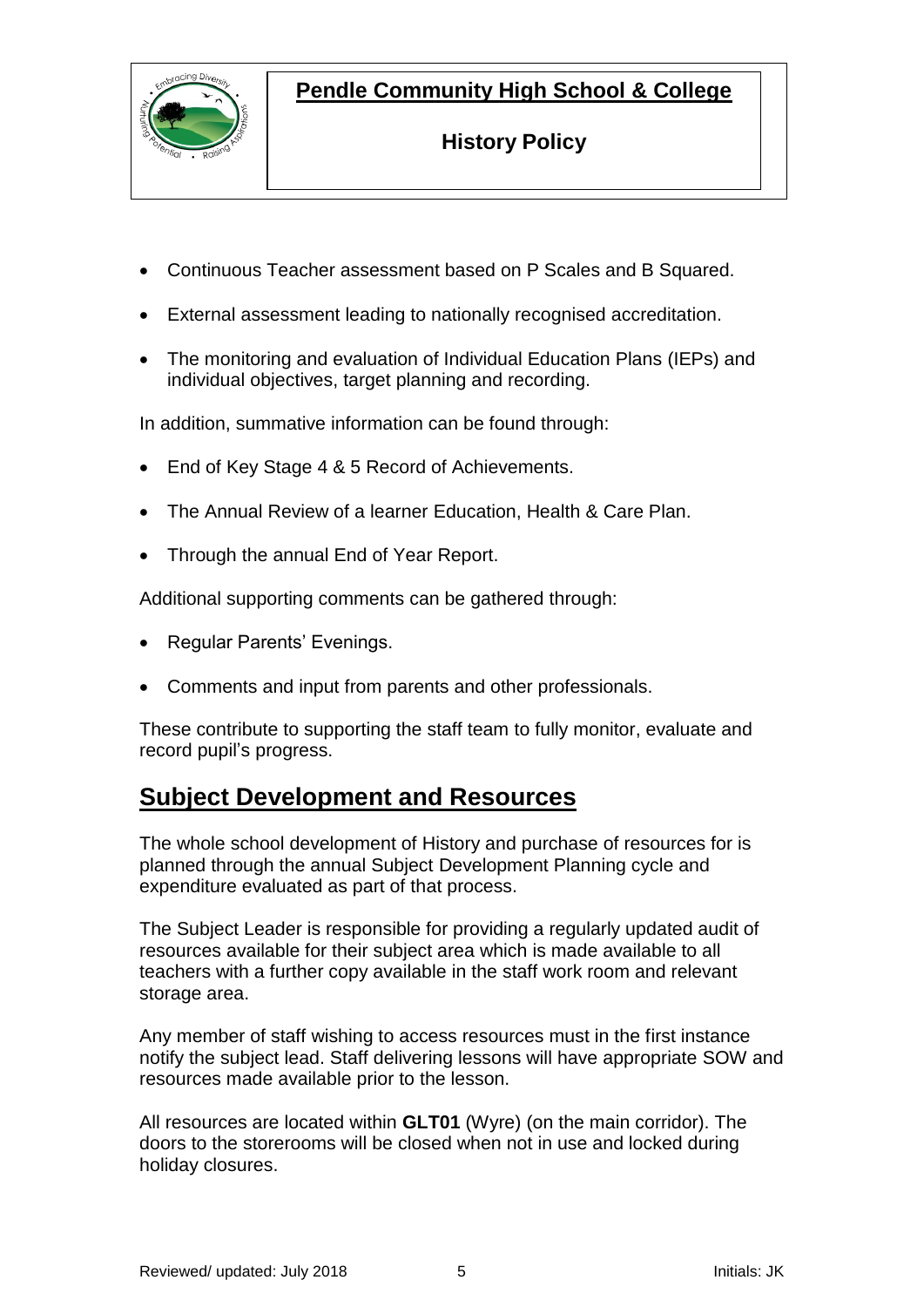



**History Policy**

- Continuous Teacher assessment based on P Scales and B Squared.
- External assessment leading to nationally recognised accreditation.
- The monitoring and evaluation of Individual Education Plans (IEPs) and individual objectives, target planning and recording.

In addition, summative information can be found through:

- End of Key Stage 4 & 5 Record of Achievements.
- The Annual Review of a learner Education, Health & Care Plan.
- Through the annual End of Year Report.

Additional supporting comments can be gathered through:

- Regular Parents' Evenings.
- Comments and input from parents and other professionals.

These contribute to supporting the staff team to fully monitor, evaluate and record pupil's progress.

## **Subject Development and Resources**

The whole school development of History and purchase of resources for is planned through the annual Subject Development Planning cycle and expenditure evaluated as part of that process.

The Subject Leader is responsible for providing a regularly updated audit of resources available for their subject area which is made available to all teachers with a further copy available in the staff work room and relevant storage area.

Any member of staff wishing to access resources must in the first instance notify the subject lead. Staff delivering lessons will have appropriate SOW and resources made available prior to the lesson.

All resources are located within **GLT01** (Wyre) (on the main corridor). The doors to the storerooms will be closed when not in use and locked during holiday closures.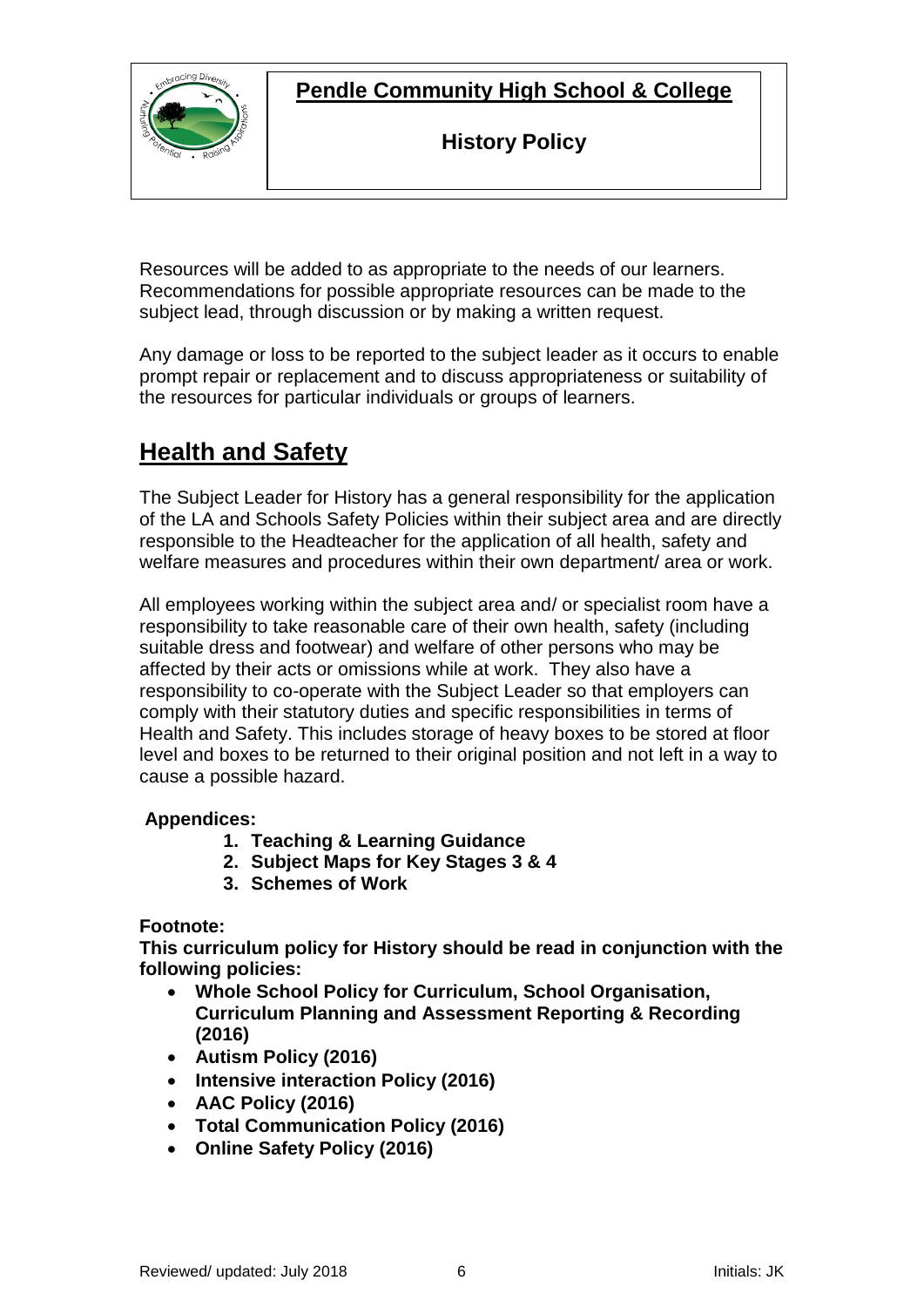

**Pendle Community High School & College**

**History Policy**

Resources will be added to as appropriate to the needs of our learners. Recommendations for possible appropriate resources can be made to the subject lead, through discussion or by making a written request.

Any damage or loss to be reported to the subject leader as it occurs to enable prompt repair or replacement and to discuss appropriateness or suitability of the resources for particular individuals or groups of learners.

# **Health and Safety**

The Subject Leader for History has a general responsibility for the application of the LA and Schools Safety Policies within their subject area and are directly responsible to the Headteacher for the application of all health, safety and welfare measures and procedures within their own department/ area or work.

All employees working within the subject area and/ or specialist room have a responsibility to take reasonable care of their own health, safety (including suitable dress and footwear) and welfare of other persons who may be affected by their acts or omissions while at work. They also have a responsibility to co-operate with the Subject Leader so that employers can comply with their statutory duties and specific responsibilities in terms of Health and Safety. This includes storage of heavy boxes to be stored at floor level and boxes to be returned to their original position and not left in a way to cause a possible hazard.

#### **Appendices:**

- **1. Teaching & Learning Guidance**
- **2. Subject Maps for Key Stages 3 & 4**
- **3. Schemes of Work**

#### **Footnote:**

**This curriculum policy for History should be read in conjunction with the following policies:**

- **Whole School Policy for Curriculum, School Organisation, Curriculum Planning and Assessment Reporting & Recording (2016)**
- **Autism Policy (2016)**
- **Intensive interaction Policy (2016)**
- **AAC Policy (2016)**
- **Total Communication Policy (2016)**
- **Online Safety Policy (2016)**